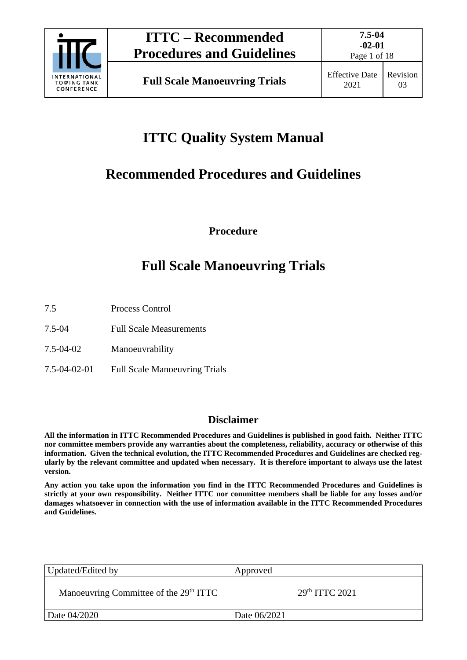

Page 1 of 18

# **ITTC Quality System Manual**

## **Recommended Procedures and Guidelines**

**Procedure**

## **Full Scale Manoeuvring Trials**

- 7.5 Process Control
- 7.5-04 Full Scale Measurements
- 7.5-04-02 Manoeuvrability
- 7.5-04-02-01 Full Scale Manoeuvring Trials

### **Disclaimer**

**All the information in ITTC Recommended Procedures and Guidelines is published in good faith. Neither ITTC nor committee members provide any warranties about the completeness, reliability, accuracy or otherwise of this information. Given the technical evolution, the ITTC Recommended Procedures and Guidelines are checked regularly by the relevant committee and updated when necessary. It is therefore important to always use the latest version.**

**Any action you take upon the information you find in the ITTC Recommended Procedures and Guidelines is strictly at your own responsibility. Neither ITTC nor committee members shall be liable for any losses and/or damages whatsoever in connection with the use of information available in the ITTC Recommended Procedures and Guidelines.**

| Updated/Edited by                                  | Approved         |
|----------------------------------------------------|------------------|
| Manoeuvring Committee of the 29 <sup>th</sup> ITTC | $29th$ ITTC 2021 |
| Date 04/2020                                       | Date 06/2021     |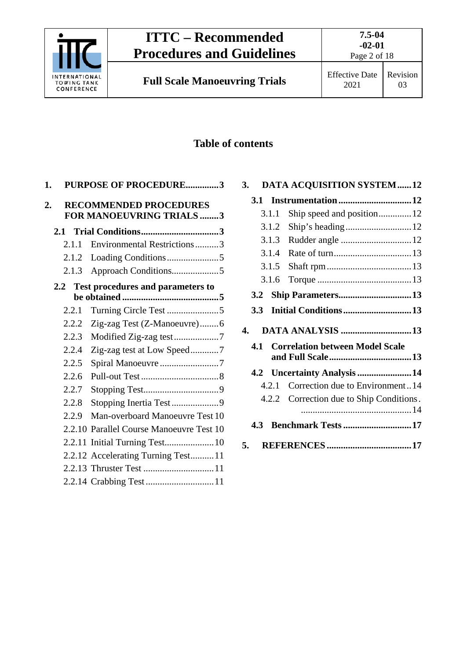

Page 2 of 18

### **Table of contents**

| 1. |        | <b>PURPOSE OF PROCEDURE3</b>                              |  |
|----|--------|-----------------------------------------------------------|--|
| 2. |        | <b>RECOMMENDED PROCEDURES</b><br>FOR MANOEUVRING TRIALS 3 |  |
|    | 2.1    |                                                           |  |
|    | 2.1.1  | Environmental Restrictions3                               |  |
|    | 2.1.2  |                                                           |  |
|    | 2.1.3  | Approach Conditions5                                      |  |
|    | 2.2    | Test procedures and parameters to                         |  |
|    |        |                                                           |  |
|    | 2.2.1  |                                                           |  |
|    | 2.2.2  | Zig-zag Test (Z-Manoeuvre)6                               |  |
|    | 2.2.3  | Modified Zig-zag test7                                    |  |
|    | 2.2.4  | Zig-zag test at Low Speed7                                |  |
|    | 2.2.5  | Spiral Manoeuvre 7                                        |  |
|    | 2.2.6  |                                                           |  |
|    | 2.2.7  |                                                           |  |
|    | 2.2.8  | Stopping Inertia Test9                                    |  |
|    | 2.2.9  | Man-overboard Manoeuvre Test 10                           |  |
|    |        | 2.2.10 Parallel Course Manoeuvre Test 10                  |  |
|    | 2.2.11 |                                                           |  |
|    |        | 2.2.12 Accelerating Turning Test11                        |  |
|    |        |                                                           |  |
|    |        |                                                           |  |
|    |        |                                                           |  |

| 3. |                  |       | <b>DATA ACQUISITION SYSTEM12</b>         |  |
|----|------------------|-------|------------------------------------------|--|
|    | 3.1              |       |                                          |  |
|    |                  | 3.1.1 | Ship speed and position 12               |  |
|    |                  | 3.1.2 |                                          |  |
|    |                  | 3.1.3 | Rudder angle  12                         |  |
|    |                  | 3.1.4 |                                          |  |
|    |                  | 3.1.5 |                                          |  |
|    |                  | 3.1.6 |                                          |  |
|    |                  |       |                                          |  |
|    | 3.3 <sub>1</sub> |       |                                          |  |
|    |                  |       |                                          |  |
| 4. |                  |       | <b>DATA ANALYSIS 13</b>                  |  |
|    | 4.1              |       | <b>Correlation between Model Scale</b>   |  |
|    |                  |       | 4.2 Uncertainty Analysis 14              |  |
|    |                  | 4.2.1 | Correction due to Environment14          |  |
|    |                  |       | 4.2.2 Correction due to Ship Conditions. |  |
|    | 4.3              |       | <b>Benchmark Tests 17</b>                |  |
| 5. |                  |       |                                          |  |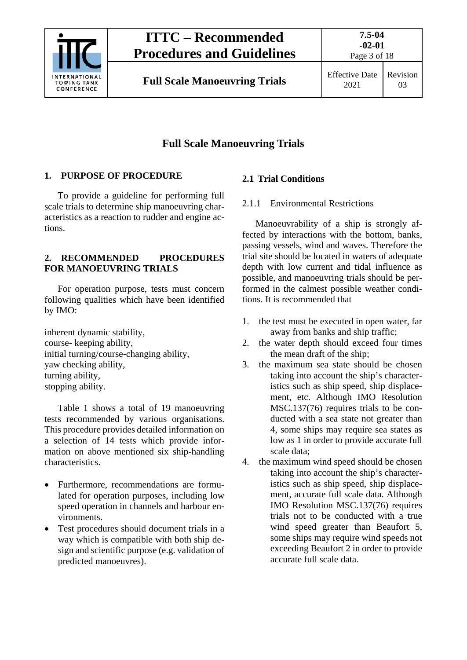

Page 3 of 18

### **Full Scale Manoeuvring Trials**

#### <span id="page-2-0"></span>**1. PURPOSE OF PROCEDURE**

To provide a guideline for performing full scale trials to determine ship manoeuvring characteristics as a reaction to rudder and engine actions.

#### <span id="page-2-1"></span>**2. RECOMMENDED PROCEDURES FOR MANOEUVRING TRIALS**

For operation purpose, tests must concern following qualities which have been identified by IMO:

inherent dynamic stability, course- keeping ability, initial turning/course-changing ability, yaw checking ability, turning ability, stopping ability.

Table 1 shows a total of 19 manoeuvring tests recommended by various organisations. This procedure provides detailed information on a selection of 14 tests which provide information on above mentioned six ship-handling characteristics.

- Furthermore, recommendations are formulated for operation purposes, including low speed operation in channels and harbour environments.
- Test procedures should document trials in a way which is compatible with both ship design and scientific purpose (e.g. validation of predicted manoeuvres).

#### <span id="page-2-3"></span><span id="page-2-2"></span>**2.1 Trial Conditions**

#### 2.1.1 Environmental Restrictions

Manoeuvrability of a ship is strongly affected by interactions with the bottom, banks, passing vessels, wind and waves. Therefore the trial site should be located in waters of adequate depth with low current and tidal influence as possible, and manoeuvring trials should be performed in the calmest possible weather conditions. It is recommended that

- 1. the test must be executed in open water, far away from banks and ship traffic;
- 2. the water depth should exceed four times the mean draft of the ship;
- 3. the maximum sea state should be chosen taking into account the ship's characteristics such as ship speed, ship displacement, etc. Although IMO Resolution MSC.137(76) requires trials to be conducted with a sea state not greater than 4, some ships may require sea states as low as 1 in order to provide accurate full scale data;
- 4. the maximum wind speed should be chosen taking into account the ship's characteristics such as ship speed, ship displacement, accurate full scale data. Although IMO Resolution MSC.137(76) requires trials not to be conducted with a true wind speed greater than Beaufort 5, some ships may require wind speeds not exceeding Beaufort 2 in order to provide accurate full scale data.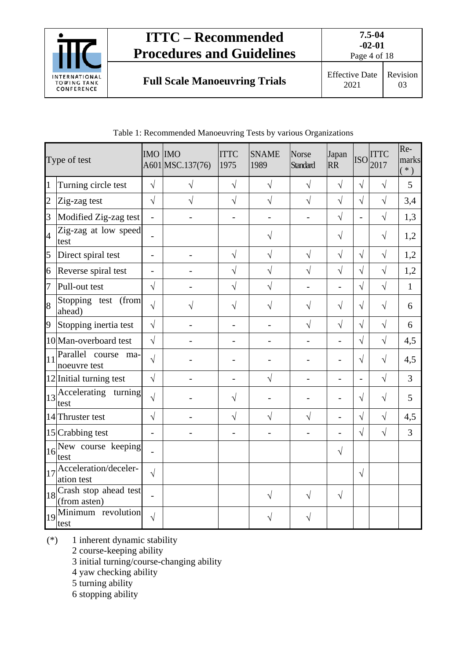

Page 4 of 18

03

**Full Scale Manoeuvring Trials** Effective Date

|                | Type of test                           | <b>IMO IMO</b> | A601 MSC.137(76) | <b>ITTC</b><br>1975      | <b>SNAME</b><br>1989     | <b>Norse</b><br><b>Standard</b> | Japan<br><b>RR</b>       | <b>ISO</b>     | <b>ITTC</b><br>2017 | Re-<br>marks<br>$(* )$ |
|----------------|----------------------------------------|----------------|------------------|--------------------------|--------------------------|---------------------------------|--------------------------|----------------|---------------------|------------------------|
| 1              | Turning circle test                    | $\sqrt{}$      | $\sqrt{}$        | $\sqrt{}$                | $\sqrt{}$                | $\sqrt{}$                       | $\sqrt{ }$               | $\sqrt{}$      | $\sqrt{ }$          | 5                      |
| $\overline{2}$ | Zig-zag test                           | $\sqrt{2}$     | $\sqrt{}$        | $\sqrt{2}$               | $\sqrt{}$                | $\sqrt{ }$                      | $\sqrt{}$                | $\sqrt{}$      | $\sqrt{}$           | 3,4                    |
| 3              | Modified Zig-zag test                  | $\overline{a}$ |                  | $\overline{a}$           |                          |                                 | $\sqrt{ }$               | $\overline{a}$ | $\sqrt{}$           | 1,3                    |
| $\overline{4}$ | Zig-zag at low speed<br>test           | $\overline{a}$ |                  |                          | V                        |                                 | $\sqrt{}$                |                | $\sqrt{}$           | 1,2                    |
| 5              | Direct spiral test                     |                |                  | $\sqrt{ }$               | $\sqrt{}$                | $\sqrt{ }$                      | $\sqrt{}$                | $\sqrt{ }$     | $\sqrt{ }$          | 1,2                    |
| 6              | Reverse spiral test                    |                |                  | $\sqrt{}$                | $\sqrt{}$                | $\sqrt{}$                       | $\sqrt{}$                | $\sqrt{ }$     | $\sqrt{ }$          | 1,2                    |
| 7              | Pull-out test                          | $\sqrt{}$      |                  | $\sqrt{}$                | $\sqrt{}$                |                                 |                          | $\sqrt{ }$     | $\sqrt{ }$          | $\mathbf{1}$           |
| 8              | Stopping test (from<br>ahead)          | $\sqrt{}$      | V                | $\sqrt{}$                | V                        | V                               | $\sqrt{}$                | $\sqrt{ }$     | $\sqrt{}$           | 6                      |
| 9              | Stopping inertia test                  | $\sqrt{2}$     |                  |                          |                          | $\sqrt{ }$                      | $\sqrt{}$                | $\sqrt{}$      | $\sqrt{}$           | 6                      |
|                | 10 Man-overboard test                  | $\sqrt{}$      |                  | -                        | $\overline{\phantom{0}}$ |                                 | $\overline{\phantom{a}}$ | $\sqrt{}$      | $\sqrt{}$           | 4,5                    |
| 11             | Parallel course<br>ma-<br>noeuvre test | $\sqrt{}$      |                  |                          |                          |                                 |                          | $\sqrt{ }$     | $\sqrt{}$           | 4,5                    |
|                | 12 Initial turning test                | $\sqrt{ }$     |                  |                          | $\sqrt{}$                |                                 |                          |                | $\sqrt{}$           | $\overline{3}$         |
| 13             | Accelerating turning<br>test           | $\sqrt{}$      |                  | V                        |                          |                                 |                          | $\sqrt{ }$     | $\sqrt{}$           | 5                      |
|                | 14 Thruster test                       | $\sqrt{}$      |                  | $\sqrt{}$                | $\sqrt{}$                | $\sqrt{}$                       | $\overline{a}$           | $\sqrt{}$      | $\sqrt{}$           | 4,5                    |
|                | 15 Crabbing test                       |                |                  | $\overline{\phantom{0}}$ |                          |                                 |                          | $\sqrt{}$      | $\sqrt{ }$          | $\overline{3}$         |
| 16             | New course keeping<br>test             |                |                  |                          |                          |                                 | $\sqrt{}$                |                |                     |                        |
| 17             | Acceleration/deceler-<br>ation test    | $\sqrt{}$      |                  |                          |                          |                                 |                          | $\sqrt{ }$     |                     |                        |
| 18             | Crash stop ahead test<br>(from asten)  |                |                  |                          | $\sqrt{}$                | $\sqrt{}$                       | $\sqrt{ }$               |                |                     |                        |
| 19             | Minimum revolution<br>test             | $\sqrt{}$      |                  |                          |                          |                                 |                          |                |                     |                        |

#### Table 1: Recommended Manoeuvring Tests by various Organizations

(\*) 1 inherent dynamic stability

2 course-keeping ability

3 initial turning/course-changing ability

4 yaw checking ability

5 turning ability

6 stopping ability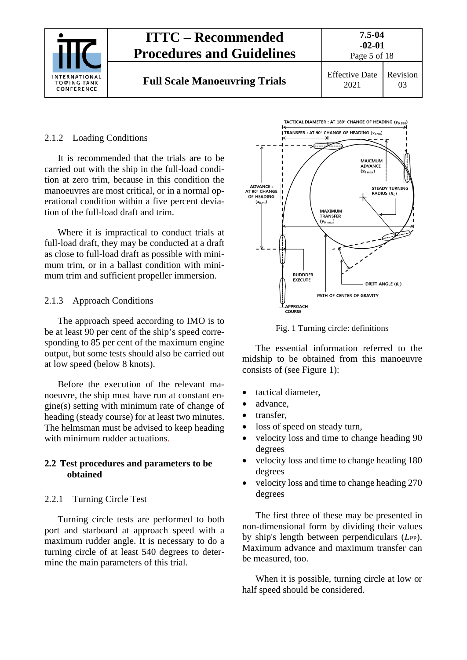

#### <span id="page-4-0"></span>2.1.2 Loading Conditions

It is recommended that the trials are to be carried out with the ship in the full-load condition at zero trim, because in this condition the manoeuvres are most critical, or in a normal operational condition within a five percent deviation of the full-load draft and trim.

Where it is impractical to conduct trials at full-load draft, they may be conducted at a draft as close to full-load draft as possible with minimum trim, or in a ballast condition with minimum trim and sufficient propeller immersion.

#### <span id="page-4-1"></span>2.1.3 Approach Conditions

The approach speed according to IMO is to be at least 90 per cent of the ship's speed corresponding to 85 per cent of the maximum engine output, but some tests should also be carried out at low speed (below 8 knots).

Before the execution of the relevant manoeuvre, the ship must have run at constant engine(s) setting with minimum rate of change of heading (steady course) for at least two minutes. The helmsman must be advised to keep heading with minimum rudder actuations.

#### <span id="page-4-2"></span>**2.2 Test procedures and parameters to be obtained**

#### <span id="page-4-3"></span>2.2.1 Turning Circle Test

Turning circle tests are performed to both port and starboard at approach speed with a maximum rudder angle. It is necessary to do a turning circle of at least 540 degrees to determine the main parameters of this trial.



Fig. 1 Turning circle: definitions

The essential information referred to the midship to be obtained from this manoeuvre consists of (see Figure 1):

- tactical diameter,
- advance.
- transfer,
- loss of speed on steady turn,
- velocity loss and time to change heading 90 degrees
- velocity loss and time to change heading 180 degrees
- velocity loss and time to change heading 270 degrees

The first three of these may be presented in non-dimensional form by dividing their values by ship's length between perpendiculars (*L*<sub>PP</sub>). Maximum advance and maximum transfer can be measured, too.

When it is possible, turning circle at low or half speed should be considered.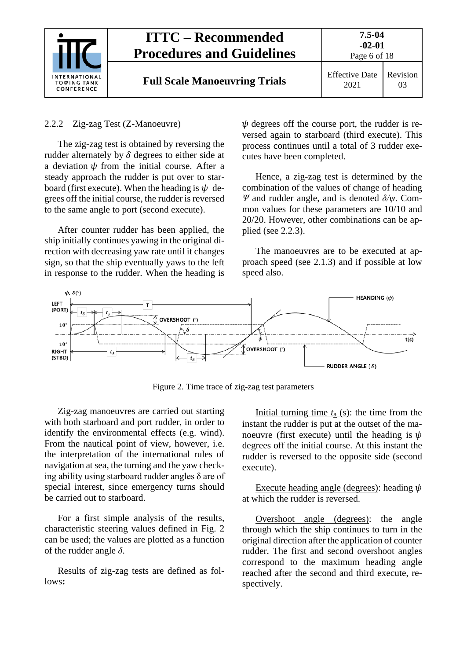|                                                          | <b>ITTC – Recommended</b><br><b>Procedures and Guidelines</b> | $7.5 - 04$<br>$-02-01$<br>Page 6 of 18 |                            |  |
|----------------------------------------------------------|---------------------------------------------------------------|----------------------------------------|----------------------------|--|
| <b>INTERNATIONAL</b><br><b>TOWING TANK</b><br>CONFERENCE | <b>Full Scale Manoeuvring Trials</b>                          | <b>Effective Date</b><br>2021          | Revision<br>0 <sup>3</sup> |  |

#### <span id="page-5-0"></span>2.2.2 Zig-zag Test (Z-Manoeuvre)

The zig-zag test is obtained by reversing the rudder alternately by  $\delta$  degrees to either side at a deviation  $\psi$  from the initial course. After a steady approach the rudder is put over to starboard (first execute). When the heading is  $\psi$  degrees off the initial course, the rudder is reversed to the same angle to port (second execute).

After counter rudder has been applied, the ship initially continues yawing in the original direction with decreasing yaw rate until it changes sign, so that the ship eventually yaws to the left in response to the rudder. When the heading is

 $\psi$  degrees off the course port, the rudder is reversed again to starboard (third execute). This process continues until a total of 3 rudder executes have been completed.

Hence, a zig-zag test is determined by the combination of the values of change of heading *Ψ* and rudder angle, and is denoted *δ/ψ*. Common values for these parameters are 10/10 and 20/20. However, other combinations can be applied (see 2.2.3).

The manoeuvres are to be executed at approach speed (see 2.1.3) and if possible at low speed also.



Figure 2. Time trace of zig-zag test parameters

Zig-zag manoeuvres are carried out starting with both starboard and port rudder, in order to identify the environmental effects (e.g. wind). From the nautical point of view, however, i.e. the interpretation of the international rules of navigation at sea, the turning and the yaw checking ability using starboard rudder angles δ are of special interest, since emergency turns should be carried out to starboard.

For a first simple analysis of the results, characteristic steering values defined in Fig. 2 can be used; the values are plotted as a function of the rudder angle *δ*.

Results of zig-zag tests are defined as follows**:**

Initial turning time *t*a (s): the time from the instant the rudder is put at the outset of the manoeuvre (first execute) until the heading is  $\psi$ degrees off the initial course. At this instant the rudder is reversed to the opposite side (second execute).

Execute heading angle (degrees): heading  $\psi$ at which the rudder is reversed.

Overshoot angle (degrees): the angle through which the ship continues to turn in the original direction after the application of counter rudder. The first and second overshoot angles correspond to the maximum heading angle reached after the second and third execute, respectively.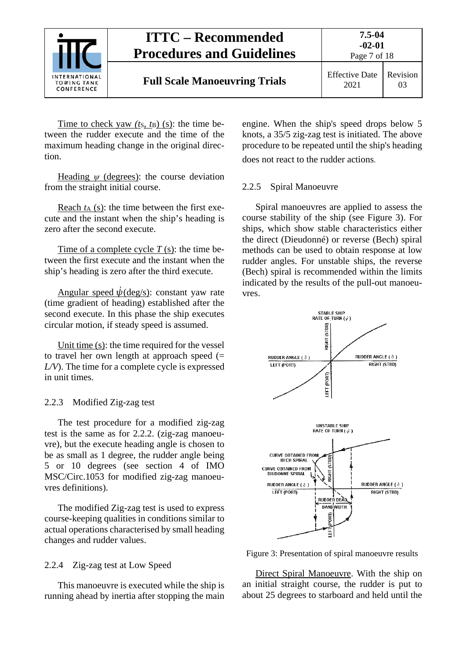

Time to check yaw *(ts, t<sub>B</sub>)* (s): the time between the rudder execute and the time of the maximum heading change in the original direction.

Heading  $\psi$  (degrees): the course deviation from the straight initial course.

Reach  $t_A$  (s): the time between the first execute and the instant when the ship's heading is zero after the second execute.

Time of a complete cycle  $T(s)$ : the time between the first execute and the instant when the ship's heading is zero after the third execute.

Angular speed  $\psi$ (deg/s): constant yaw rate (time gradient of heading) established after the second execute. In this phase the ship executes circular motion, if steady speed is assumed.

Unit time (s): the time required for the vessel to travel her own length at approach speed  $(=$ *L/V*). The time for a complete cycle is expressed in unit times.

#### <span id="page-6-0"></span>2.2.3 Modified Zig-zag test

The test procedure for a modified zig-zag test is the same as for 2.2.2. (zig-zag manoeuvre), but the execute heading angle is chosen to be as small as 1 degree, the rudder angle being 5 or 10 degrees (see section 4 of IMO MSC/Circ.1053 for modified zig-zag manoeuvres definitions).

The modified Zig-zag test is used to express course-keeping qualities in conditions similar to actual operations characterised by small heading changes and rudder values.

#### <span id="page-6-1"></span>2.2.4 Zig-zag test at Low Speed

This manoeuvre is executed while the ship is running ahead by inertia after stopping the main engine. When the ship's speed drops below 5 knots, a 35/5 zig-zag test is initiated. The above procedure to be repeated until the ship's heading does not react to the rudder actions.

#### <span id="page-6-2"></span>2.2.5 Spiral Manoeuvre

Spiral manoeuvres are applied to assess the course stability of the ship (see Figure 3). For ships, which show stable characteristics either the direct (Dieudonné) or reverse (Bech) spiral methods can be used to obtain response at low rudder angles. For unstable ships, the reverse (Bech) spiral is recommended within the limits indicated by the results of the pull-out manoeuvres.



Figure 3: Presentation of spiral manoeuvre results

Direct Spiral Manoeuvre. With the ship on an initial straight course, the rudder is put to about 25 degrees to starboard and held until the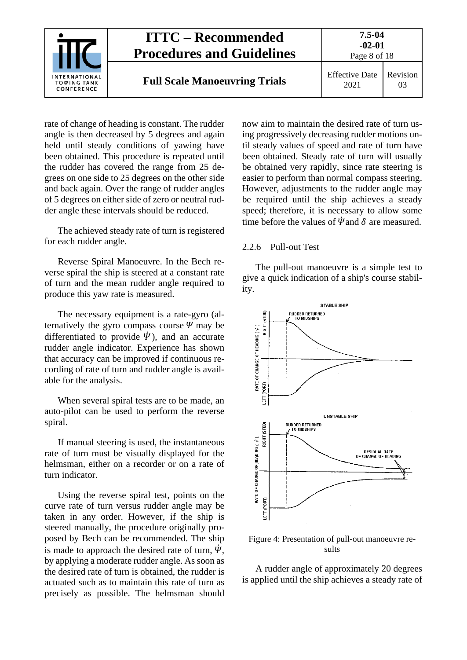

rate of change of heading is constant. The rudder angle is then decreased by 5 degrees and again held until steady conditions of yawing have been obtained. This procedure is repeated until the rudder has covered the range from 25 degrees on one side to 25 degrees on the other side and back again. Over the range of rudder angles of 5 degrees on either side of zero or neutral rudder angle these intervals should be reduced.

The achieved steady rate of turn is registered for each rudder angle.

Reverse Spiral Manoeuvre. In the Bech reverse spiral the ship is steered at a constant rate of turn and the mean rudder angle required to produce this yaw rate is measured.

The necessary equipment is a rate-gyro (alternatively the gyro compass course  $\Psi$  may be differentiated to provide  $\dot{\psi}$ ), and an accurate rudder angle indicator. Experience has shown that accuracy can be improved if continuous recording of rate of turn and rudder angle is available for the analysis.

When several spiral tests are to be made, an auto-pilot can be used to perform the reverse spiral.

If manual steering is used, the instantaneous rate of turn must be visually displayed for the helmsman, either on a recorder or on a rate of turn indicator.

Using the reverse spiral test, points on the curve rate of turn versus rudder angle may be taken in any order. However, if the ship is steered manually, the procedure originally proposed by Bech can be recommended. The ship is made to approach the desired rate of turn,  $\ddot{\psi}$ , by applying a moderate rudder angle. As soon as the desired rate of turn is obtained, the rudder is actuated such as to maintain this rate of turn as precisely as possible. The helmsman should now aim to maintain the desired rate of turn using progressively decreasing rudder motions until steady values of speed and rate of turn have been obtained. Steady rate of turn will usually be obtained very rapidly, since rate steering is easier to perform than normal compass steering. However, adjustments to the rudder angle may be required until the ship achieves a steady speed; therefore, it is necessary to allow some time before the values of  $\ddot{\psi}$  and  $\delta$  are measured.

#### <span id="page-7-0"></span>2.2.6 Pull-out Test

The pull-out manoeuvre is a simple test to give a quick indication of a ship's course stability.



Figure 4: Presentation of pull-out manoeuvre results

A rudder angle of approximately 20 degrees is applied until the ship achieves a steady rate of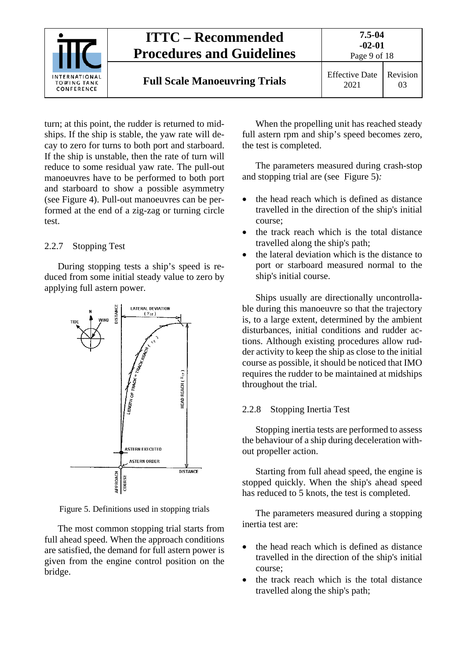

turn; at this point, the rudder is returned to midships. If the ship is stable, the yaw rate will decay to zero for turns to both port and starboard. If the ship is unstable, then the rate of turn will reduce to some residual yaw rate. The pull-out manoeuvres have to be performed to both port and starboard to show a possible asymmetry (see Figure 4). Pull-out manoeuvres can be performed at the end of a zig-zag or turning circle test.

#### <span id="page-8-0"></span>2.2.7 Stopping Test

During stopping tests a ship's speed is reduced from some initial steady value to zero by applying full astern power.



Figure 5. Definitions used in stopping trials

The most common stopping trial starts from full ahead speed. When the approach conditions are satisfied, the demand for full astern power is given from the engine control position on the bridge.

When the propelling unit has reached steady full astern rpm and ship's speed becomes zero, the test is completed.

The parameters measured during crash-stop and stopping trial are (see Figure 5)*:*

- the head reach which is defined as distance travelled in the direction of the ship's initial course;
- the track reach which is the total distance travelled along the ship's path;
- the lateral deviation which is the distance to port or starboard measured normal to the ship's initial course.

Ships usually are directionally uncontrollable during this manoeuvre so that the trajectory is, to a large extent, determined by the ambient disturbances, initial conditions and rudder actions. Although existing procedures allow rudder activity to keep the ship as close to the initial course as possible, it should be noticed that IMO requires the rudder to be maintained at midships throughout the trial.

#### <span id="page-8-1"></span>2.2.8 Stopping Inertia Test

Stopping inertia tests are performed to assess the behaviour of a ship during deceleration without propeller action.

Starting from full ahead speed, the engine is stopped quickly. When the ship's ahead speed has reduced to 5 knots, the test is completed.

The parameters measured during a stopping inertia test are:

- the head reach which is defined as distance travelled in the direction of the ship's initial course;
- the track reach which is the total distance travelled along the ship's path;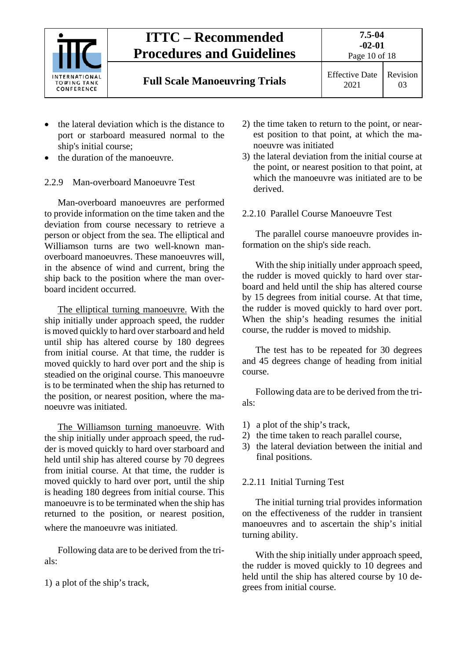

- the lateral deviation which is the distance to port or starboard measured normal to the ship's initial course;
- the duration of the manoeuvre.

#### <span id="page-9-0"></span>2.2.9 Man-overboard Manoeuvre Test

Man-overboard manoeuvres are performed to provide information on the time taken and the deviation from course necessary to retrieve a person or object from the sea. The elliptical and Williamson turns are two well-known manoverboard manoeuvres. These manoeuvres will, in the absence of wind and current, bring the ship back to the position where the man overboard incident occurred.

The elliptical turning manoeuvre. With the ship initially under approach speed, the rudder is moved quickly to hard over starboard and held until ship has altered course by 180 degrees from initial course. At that time, the rudder is moved quickly to hard over port and the ship is steadied on the original course. This manoeuvre is to be terminated when the ship has returned to the position, or nearest position, where the manoeuvre was initiated.

The Williamson turning manoeuvre. With the ship initially under approach speed, the rudder is moved quickly to hard over starboard and held until ship has altered course by 70 degrees from initial course. At that time, the rudder is moved quickly to hard over port, until the ship is heading 180 degrees from initial course. This manoeuvre is to be terminated when the ship has returned to the position, or nearest position, where the manoeuvre was initiated.

Following data are to be derived from the trials:

1) a plot of the ship's track,

- 2) the time taken to return to the point, or nearest position to that point, at which the manoeuvre was initiated
- 3) the lateral deviation from the initial course at the point, or nearest position to that point, at which the manoeuvre was initiated are to be derived.

#### <span id="page-9-1"></span>2.2.10 Parallel Course Manoeuvre Test

The parallel course manoeuvre provides information on the ship's side reach.

With the ship initially under approach speed, the rudder is moved quickly to hard over starboard and held until the ship has altered course by 15 degrees from initial course. At that time, the rudder is moved quickly to hard over port. When the ship's heading resumes the initial course, the rudder is moved to midship.

The test has to be repeated for 30 degrees and 45 degrees change of heading from initial course.

Following data are to be derived from the trials:

- 1) a plot of the ship's track,
- 2) the time taken to reach parallel course,
- 3) the lateral deviation between the initial and final positions.

#### <span id="page-9-2"></span>2.2.11 Initial Turning Test

The initial turning trial provides information on the effectiveness of the rudder in transient manoeuvres and to ascertain the ship's initial turning ability.

With the ship initially under approach speed, the rudder is moved quickly to 10 degrees and held until the ship has altered course by 10 degrees from initial course.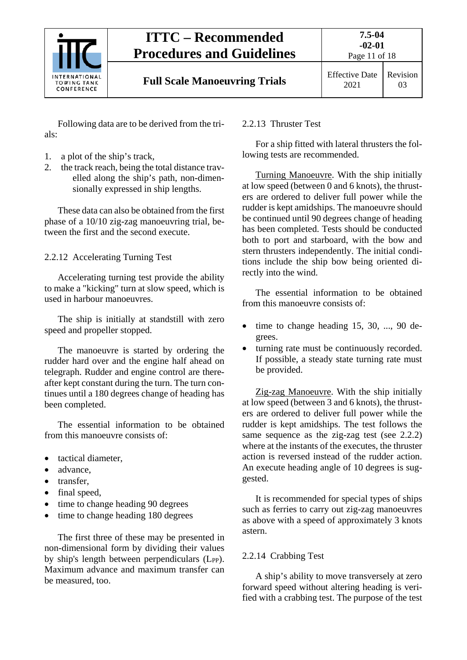

Following data are to be derived from the trials:

- 1. a plot of the ship's track,
- 2. the track reach, being the total distance travelled along the ship's path, non-dimensionally expressed in ship lengths.

These data can also be obtained from the first phase of a 10/10 zig-zag manoeuvring trial, between the first and the second execute.

<span id="page-10-0"></span>2.2.12 Accelerating Turning Test

Accelerating turning test provide the ability to make a "kicking" turn at slow speed, which is used in harbour manoeuvres.

The ship is initially at standstill with zero speed and propeller stopped.

The manoeuvre is started by ordering the rudder hard over and the engine half ahead on telegraph. Rudder and engine control are thereafter kept constant during the turn. The turn continues until a 180 degrees change of heading has been completed.

The essential information to be obtained from this manoeuvre consists of:

- tactical diameter,
- advance,
- transfer,
- final speed,
- time to change heading 90 degrees
- time to change heading 180 degrees

The first three of these may be presented in non-dimensional form by dividing their values by ship's length between perpendiculars (LPP). Maximum advance and maximum transfer can be measured, too.

### <span id="page-10-1"></span>2.2.13 Thruster Test

For a ship fitted with lateral thrusters the following tests are recommended.

Turning Manoeuvre. With the ship initially at low speed (between 0 and 6 knots), the thrusters are ordered to deliver full power while the rudder is kept amidships. The manoeuvre should be continued until 90 degrees change of heading has been completed. Tests should be conducted both to port and starboard, with the bow and stern thrusters independently. The initial conditions include the ship bow being oriented directly into the wind.

The essential information to be obtained from this manoeuvre consists of:

- time to change heading 15, 30, ..., 90 degrees.
- turning rate must be continuously recorded. If possible, a steady state turning rate must be provided.

Zig-zag Manoeuvre. With the ship initially at low speed (between 3 and 6 knots), the thrusters are ordered to deliver full power while the rudder is kept amidships. The test follows the same sequence as the zig-zag test (see 2.2.2) where at the instants of the executes, the thruster action is reversed instead of the rudder action. An execute heading angle of 10 degrees is suggested.

It is recommended for special types of ships such as ferries to carry out zig-zag manoeuvres as above with a speed of approximately 3 knots astern.

### <span id="page-10-2"></span>2.2.14 Crabbing Test

A ship's ability to move transversely at zero forward speed without altering heading is verified with a crabbing test. The purpose of the test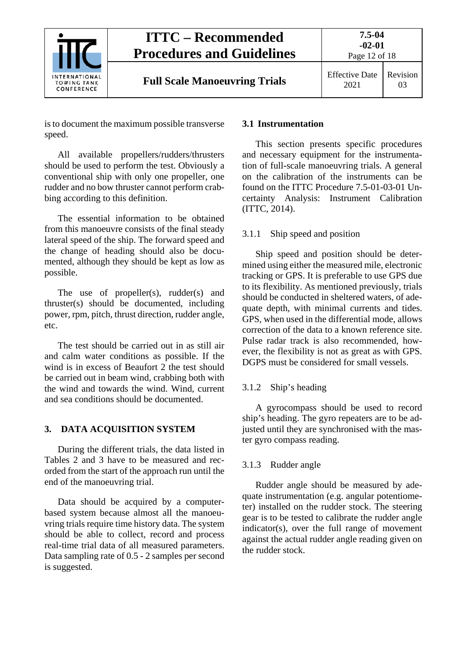

is to document the maximum possible transverse speed.

All available propellers/rudders/thrusters should be used to perform the test. Obviously a conventional ship with only one propeller, one rudder and no bow thruster cannot perform crabbing according to this definition.

The essential information to be obtained from this manoeuvre consists of the final steady lateral speed of the ship. The forward speed and the change of heading should also be documented, although they should be kept as low as possible.

The use of propeller(s), rudder(s) and thruster(s) should be documented, including power, rpm, pitch, thrust direction, rudder angle, etc.

The test should be carried out in as still air and calm water conditions as possible. If the wind is in excess of Beaufort 2 the test should be carried out in beam wind, crabbing both with the wind and towards the wind. Wind, current and sea conditions should be documented.

#### <span id="page-11-0"></span>**3. DATA ACQUISITION SYSTEM**

During the different trials, the data listed in Tables 2 and 3 have to be measured and recorded from the start of the approach run until the end of the manoeuvring trial.

Data should be acquired by a computerbased system because almost all the manoeuvring trials require time history data. The system should be able to collect, record and process real-time trial data of all measured parameters. Data sampling rate of 0.5 - 2 samples per second is suggested.

#### <span id="page-11-1"></span>**3.1 Instrumentation**

This section presents specific procedures and necessary equipment for the instrumentation of full-scale manoeuvring trials. A general on the calibration of the instruments can be found on the ITTC Procedure 7.5-01-03-01 Uncertainty Analysis: Instrument Calibration (ITTC, 2014).

#### <span id="page-11-2"></span>3.1.1 Ship speed and position

Ship speed and position should be determined using either the measured mile, electronic tracking or GPS. It is preferable to use GPS due to its flexibility. As mentioned previously, trials should be conducted in sheltered waters, of adequate depth, with minimal currents and tides. GPS, when used in the differential mode, allows correction of the data to a known reference site. Pulse radar track is also recommended, however, the flexibility is not as great as with GPS. DGPS must be considered for small vessels.

#### <span id="page-11-3"></span>3.1.2 Ship's heading

A gyrocompass should be used to record ship's heading. The gyro repeaters are to be adjusted until they are synchronised with the master gyro compass reading.

#### <span id="page-11-4"></span>3.1.3 Rudder angle

Rudder angle should be measured by adequate instrumentation (e.g. angular potentiometer) installed on the rudder stock. The steering gear is to be tested to calibrate the rudder angle indicator(s), over the full range of movement against the actual rudder angle reading given on the rudder stock.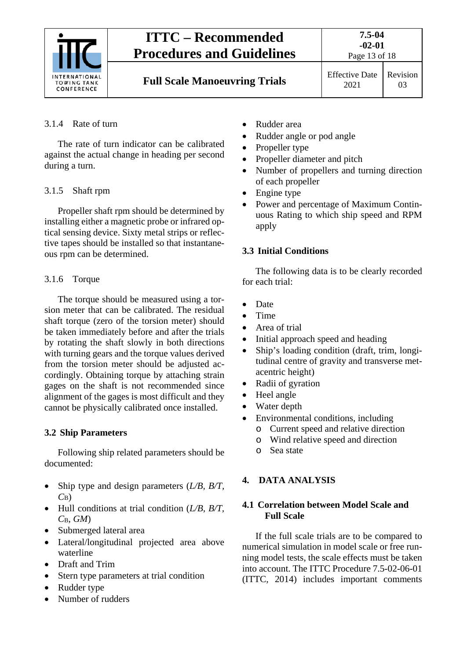

#### <span id="page-12-0"></span>3.1.4 Rate of turn

The rate of turn indicator can be calibrated against the actual change in heading per second during a turn.

#### <span id="page-12-1"></span>3.1.5 Shaft rpm

Propeller shaft rpm should be determined by installing either a magnetic probe or infrared optical sensing device. Sixty metal strips or reflective tapes should be installed so that instantaneous rpm can be determined.

#### <span id="page-12-2"></span>3.1.6 Torque

The torque should be measured using a torsion meter that can be calibrated. The residual shaft torque (zero of the torsion meter) should be taken immediately before and after the trials by rotating the shaft slowly in both directions with turning gears and the torque values derived from the torsion meter should be adjusted accordingly. Obtaining torque by attaching strain gages on the shaft is not recommended since alignment of the gages is most difficult and they cannot be physically calibrated once installed.

#### <span id="page-12-3"></span>**3.2 Ship Parameters**

Following ship related parameters should be documented:

- Ship type and design parameters (*L/B, B/T, C*B)
- Hull conditions at trial condition (*L/B, B/T, C*B*, GM*)
- Submerged lateral area
- Lateral/longitudinal projected area above waterline
- Draft and Trim
- Stern type parameters at trial condition
- Rudder type
- Number of rudders
- Rudder area
- Rudder angle or pod angle
- Propeller type
- Propeller diameter and pitch
- Number of propellers and turning direction of each propeller
- Engine type
- Power and percentage of Maximum Continuous Rating to which ship speed and RPM apply

#### <span id="page-12-4"></span>**3.3 Initial Conditions**

The following data is to be clearly recorded for each trial:

- Date
- Time
- Area of trial
- Initial approach speed and heading
- Ship's loading condition (draft, trim, longitudinal centre of gravity and transverse metacentric height)
- Radii of gyration
- Heel angle
- Water depth
- Environmental conditions, including
	- o Current speed and relative direction
	- o Wind relative speed and direction
	- o Sea state

#### <span id="page-12-6"></span><span id="page-12-5"></span>**4. DATA ANALYSIS**

#### **4.1 Correlation between Model Scale and Full Scale**

If the full scale trials are to be compared to numerical simulation in model scale or free running model tests, the scale effects must be taken into account. The ITTC Procedure 7.5-02-06-01 (ITTC, 2014) includes important comments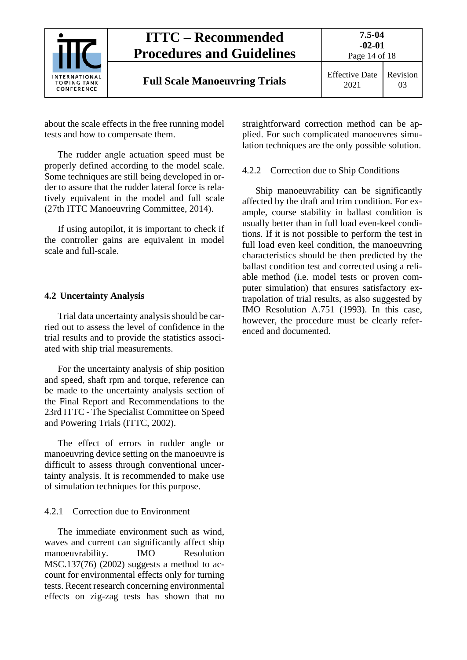

about the scale effects in the free running model tests and how to compensate them.

The rudder angle actuation speed must be properly defined according to the model scale. Some techniques are still being developed in order to assure that the rudder lateral force is relatively equivalent in the model and full scale (27th ITTC Manoeuvring Committee, 2014).

If using autopilot, it is important to check if the controller gains are equivalent in model scale and full-scale.

#### <span id="page-13-0"></span>**4.2 Uncertainty Analysis**

Trial data uncertainty analysis should be carried out to assess the level of confidence in the trial results and to provide the statistics associated with ship trial measurements.

For the uncertainty analysis of ship position and speed, shaft rpm and torque, reference can be made to the uncertainty analysis section of the Final Report and Recommendations to the 23rd ITTC - The Specialist Committee on Speed and Powering Trials (ITTC, 2002).

The effect of errors in rudder angle or manoeuvring device setting on the manoeuvre is difficult to assess through conventional uncertainty analysis. It is recommended to make use of simulation techniques for this purpose.

#### <span id="page-13-1"></span>4.2.1 Correction due to Environment

The immediate environment such as wind, waves and current can significantly affect ship manoeuvrability. IMO Resolution MSC.137(76) (2002) suggests a method to account for environmental effects only for turning tests. Recent research concerning environmental effects on zig-zag tests has shown that no straightforward correction method can be applied. For such complicated manoeuvres simulation techniques are the only possible solution.

#### <span id="page-13-2"></span>4.2.2 Correction due to Ship Conditions

Ship manoeuvrability can be significantly affected by the draft and trim condition. For example, course stability in ballast condition is usually better than in full load even-keel conditions. If it is not possible to perform the test in full load even keel condition, the manoeuvring characteristics should be then predicted by the ballast condition test and corrected using a reliable method (i.e. model tests or proven computer simulation) that ensures satisfactory extrapolation of trial results, as also suggested by IMO Resolution A.751 (1993). In this case, however, the procedure must be clearly referenced and documented.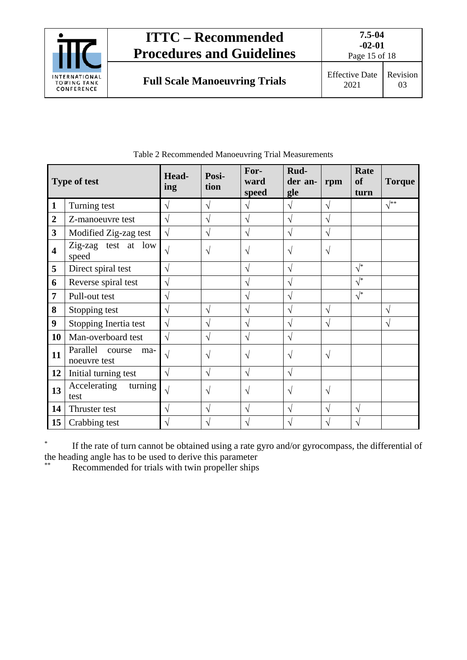

Page 15 of 18

| ffective Date   Revision |    |
|--------------------------|----|
| 2021                     | 03 |
|                          |    |

|                         | <b>Type of test</b>                       | Head-<br>ing | Posi-<br>tion | For-<br>ward<br>speed | Rud-<br>der an-<br>gle | rpm        | Rate<br><b>of</b><br>turn | <b>Torque</b>  |
|-------------------------|-------------------------------------------|--------------|---------------|-----------------------|------------------------|------------|---------------------------|----------------|
| 1                       | Turning test                              | V            | $\sqrt{}$     | V                     | V                      | $\sqrt{ }$ |                           | $\sqrt{^{**}}$ |
| $\mathbf{2}$            | Z-manoeuvre test                          | V            | V             | V                     | V                      | $\sqrt{}$  |                           |                |
| $\mathbf{3}$            | Modified Zig-zag test                     | $\sqrt{}$    | $\sqrt{}$     | $\sqrt{}$             | V                      | $\sqrt{ }$ |                           |                |
| $\overline{\mathbf{4}}$ | Zig-zag test at low<br>speed              | $\sqrt{ }$   | $\sqrt{}$     | $\sqrt{}$             | V                      | $\sqrt{}$  |                           |                |
| 5                       | Direct spiral test                        | V            |               | V                     | V                      |            | $\sqrt{*}$                |                |
| 6                       | Reverse spiral test                       | V            |               | V                     | V                      |            | $\sqrt{\frac{1}{2}}$      |                |
| 7                       | Pull-out test                             | V            |               | V                     | V                      |            | $\sqrt{\frac{1}{2}}$      |                |
| 8                       | Stopping test                             | V            | $\sqrt{ }$    | V                     | V                      | $\sqrt{}$  |                           | V              |
| 9                       | Stopping Inertia test                     | $\sqrt{}$    | V             | V                     | N                      | V          |                           | V              |
| 10                      | Man-overboard test                        | $\sqrt{}$    | $\sqrt{ }$    | $\sqrt{}$             | V                      |            |                           |                |
| 11                      | Parallel<br>course<br>ma-<br>noeuvre test | V            | $\sqrt{ }$    | V                     | V                      | $\sqrt{ }$ |                           |                |
| 12                      | Initial turning test                      | V            | $\sqrt{}$     | $\sqrt{}$             | V                      |            |                           |                |
| 13                      | Accelerating<br>turning<br>test           | $\sqrt{}$    | $\sqrt{}$     | V                     | V                      | $\sqrt{}$  |                           |                |
| 14                      | Thruster test                             | V            | $\sqrt{}$     | V                     | N                      | $\sqrt{}$  | $\sqrt{}$                 |                |
| 15                      | Crabbing test                             | V            | V             | $\sqrt{}$             | V                      | V          | V                         |                |

Table 2 Recommended Manoeuvring Trial Measurements

\* If the rate of turn cannot be obtained using a rate gyro and/or gyrocompass, the differential of the heading angle has to be used to derive this parameter

Recommended for trials with twin propeller ships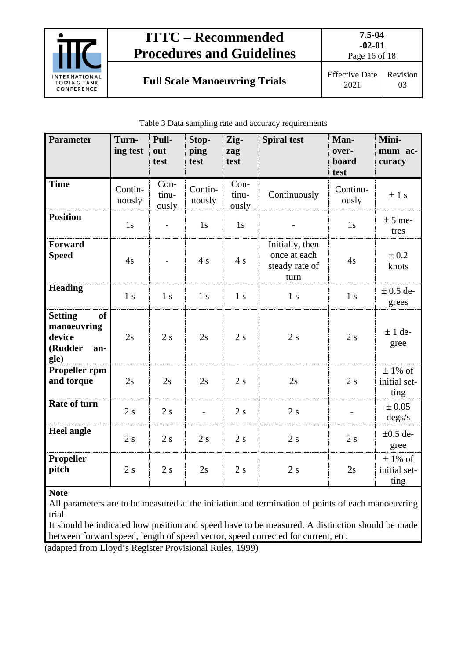

**Full Scale Manoeuvring Trials** Effective Date

Page 16 of 18

|  |  | Table 3 Data sampling rate and accuracy requirements |  |
|--|--|------------------------------------------------------|--|
|  |  |                                                      |  |

| <b>Parameter</b>                                                        | Turn-<br>ing test | Pull-<br>out<br>test     | Stop-<br>ping<br>test    | Zig-<br>zag<br>test    | <b>Spiral test</b>                                        | Man-<br>over-<br>board<br>test | Mini-<br>mum ac-<br>curacy          |
|-------------------------------------------------------------------------|-------------------|--------------------------|--------------------------|------------------------|-----------------------------------------------------------|--------------------------------|-------------------------------------|
| <b>Time</b>                                                             | Contin-<br>uously | $Con-$<br>tinu-<br>ously | Contin-<br>uously        | Con-<br>tinu-<br>ously | Continuously                                              | Continu-<br>ously              | $\pm$ 1 s                           |
| <b>Position</b>                                                         | 1s                | $\overline{\phantom{a}}$ | 1s                       | 1s                     |                                                           | 1s                             | $\pm$ 5 me-<br>tres                 |
| <b>Forward</b><br><b>Speed</b>                                          | 4s                |                          | 4s                       | 4s                     | Initially, then<br>once at each<br>steady rate of<br>turn | 4s                             | $\pm 0.2$<br>knots                  |
| <b>Heading</b>                                                          | 1 <sub>s</sub>    | 1 <sub>s</sub>           | 1 <sub>s</sub>           | 1 <sub>s</sub>         | 1 <sub>s</sub>                                            | 1 <sub>s</sub>                 | $\pm$ 0.5 de-<br>grees              |
| of<br><b>Setting</b><br>manoeuvring<br>device<br>(Rudder<br>an-<br>gle) | 2s                | 2s                       | 2s                       | 2s                     | 2s                                                        | 2s                             | $± 1$ de-<br>gree                   |
| Propeller rpm<br>and torque                                             | 2s                | 2s                       | 2s                       | 2s                     | 2s                                                        | 2s                             | $\pm$ 1% of<br>initial set-<br>ting |
| Rate of turn                                                            | 2s                | 2s                       | $\overline{\phantom{0}}$ | 2s                     | 2s                                                        |                                | ± 0.05<br>degs/s                    |
| <b>Heel angle</b>                                                       | 2s                | 2s                       | 2s                       | 2s                     | 2s                                                        | 2s                             | $\pm 0.5$ de-<br>gree               |
| <b>Propeller</b><br>pitch                                               | 2s                | 2s                       | 2s                       | 2s                     | 2s                                                        | 2s                             | $\pm$ 1% of<br>initial set-<br>ting |

**Note**

All parameters are to be measured at the initiation and termination of points of each manoeuvring trial

It should be indicated how position and speed have to be measured. A distinction should be made between forward speed, length of speed vector, speed corrected for current, etc.

(adapted from Lloyd's Register Provisional Rules, 1999)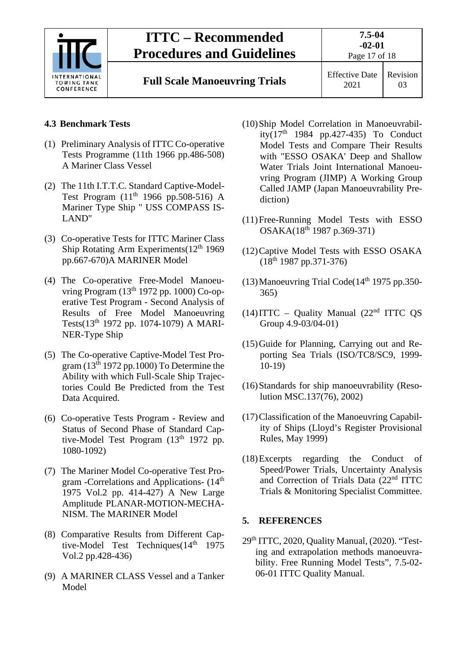|                                                   | <b>ITTC – Recommended</b><br><b>Procedures and Guidelines</b> | $7.5 - 04$<br>$-02-01$<br>Page 17 of 18 |          |  |
|---------------------------------------------------|---------------------------------------------------------------|-----------------------------------------|----------|--|
| INTERNATIONAL<br><b>TOWING TANK</b><br>CONFERENCE | <b>Full Scale Manoeuvring Trials</b>                          | <b>Effective Date</b><br>2021           | Revision |  |

#### <span id="page-16-0"></span>**4.3 Benchmark Tests**

- (1) Preliminary Analysis of ITTC Co-operative Tests Programme (11th 1966 pp.486-508) A Mariner Class Vessel
- (2) The 11th I.T.T.C. Standard Captive-Model-Test Program (11<sup>th</sup> 1966 pp.508-516) A Mariner Type Ship " USS COMPASS IS-LAND"
- (3) Co-operative Tests for ITTC Mariner Class Ship Rotating Arm Experiments $(12<sup>th</sup> 1969)$ pp.667-670)A MARINER Model
- (4) The Co-operative Free-Model Manoeuvring Program (13<sup>th</sup> 1972 pp. 1000) Co-operative Test Program - Second Analysis of Results of Free Model Manoeuvring Tests(13th 1972 pp. 1074-1079) A MARI-NER-Type Ship
- (5) The Co-operative Captive-Model Test Program ( $13<sup>th</sup> 1972$  pp.1000) To Determine the Ability with which Full-Scale Ship Trajectories Could Be Predicted from the Test Data Acquired.
- (6) Co-operative Tests Program Review and Status of Second Phase of Standard Captive-Model Test Program (13<sup>th</sup> 1972 pp. 1080-1092)
- (7) The Mariner Model Co-operative Test Program -Correlations and Applications- (14th 1975 Vol.2 pp. 414-427) A New Large Amplitude PLANAR-MOTION-MECHA-NISM. The MARINER Model
- (8) Comparative Results from Different Captive-Model Test Techniques $(14<sup>th</sup> 1975)$ Vol.2 pp.428-436)
- (9) A MARINER CLASS Vessel and a Tanker Model
- (10)Ship Model Correlation in Manoeuvrability( $17<sup>th</sup>$  1984 pp.427-435) To Conduct Model Tests and Compare Their Results with "ESSO OSAKA' Deep and Shallow Water Trials Joint International Manoeuvring Program (JIMP) A Working Group Called JAMP (Japan Manoeuvrability Prediction)
- (11)Free-Running Model Tests with ESSO OSAKA(18th 1987 p.369-371)
- (12)Captive Model Tests with ESSO OSAKA  $(18<sup>th</sup> 1987 pp.371-376)$
- (13) Manoeuvring Trial Code( $14<sup>th</sup>$  1975 pp.350-365)
- $(14)$ ITTC Quality Manual  $(22<sup>nd</sup> ITTC OS$ Group 4.9-03/04-01)
- (15)Guide for Planning, Carrying out and Reporting Sea Trials (ISO/TC8/SC9, 1999- 10-19)
- (16)Standards for ship manoeuvrability (Resolution MSC.137(76), 2002)
- (17)Classification of the Manoeuvring Capability of Ships (Lloyd's Register Provisional Rules, May 1999)
- (18)Excerpts regarding the Conduct of Speed/Power Trials, Uncertainty Analysis and Correction of Trials Data (22nd ITTC Trials & Monitoring Specialist Committee.

#### <span id="page-16-1"></span>**5. REFERENCES**

 $29<sup>th</sup> TTC, 2020, Quality Manual, (2020).$  "Testing and extrapolation methods manoeuvrability. Free Running Model Tests", 7.5-02- 06-01 ITTC Quality Manual.